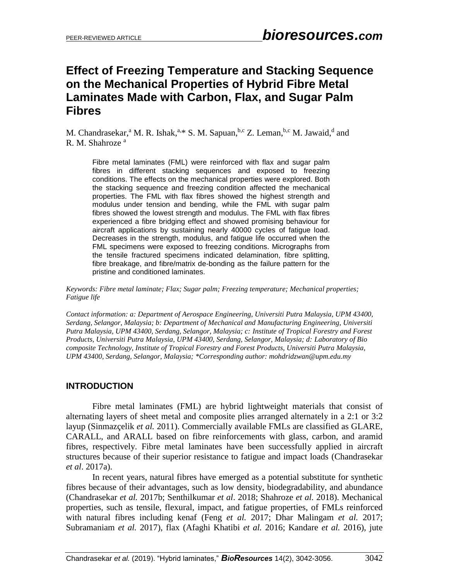# **Effect of Freezing Temperature and Stacking Sequence on the Mechanical Properties of Hybrid Fibre Metal Laminates Made with Carbon, Flax, and Sugar Palm Fibres**

M. Chandrasekar,<sup>a</sup> M. R. Ishak,<sup>a,\*</sup> S. M. Sapuan,<sup>b,c</sup> Z. Leman,<sup>b,c</sup> M. Jawaid,<sup>d</sup> and R. M. Shahroze <sup>a</sup>

Fibre metal laminates (FML) were reinforced with flax and sugar palm fibres in different stacking sequences and exposed to freezing conditions. The effects on the mechanical properties were explored. Both the stacking sequence and freezing condition affected the mechanical properties. The FML with flax fibres showed the highest strength and modulus under tension and bending, while the FML with sugar palm fibres showed the lowest strength and modulus. The FML with flax fibres experienced a fibre bridging effect and showed promising behaviour for aircraft applications by sustaining nearly 40000 cycles of fatigue load. Decreases in the strength, modulus, and fatigue life occurred when the FML specimens were exposed to freezing conditions. Micrographs from the tensile fractured specimens indicated delamination, fibre splitting, fibre breakage, and fibre/matrix de-bonding as the failure pattern for the pristine and conditioned laminates.

*Keywords: Fibre metal laminate; Flax; Sugar palm; Freezing temperature; Mechanical properties; Fatigue life*

*Contact information: a: Department of Aerospace Engineering, Universiti Putra Malaysia, UPM 43400, Serdang, Selangor, Malaysia; b: Department of Mechanical and Manufacturing Engineering, Universiti Putra Malaysia, UPM 43400, Serdang, Selangor, Malaysia; c: Institute of Tropical Forestry and Forest Products, Universiti Putra Malaysia, UPM 43400, Serdang, Selangor, Malaysia; d: Laboratory of Bio composite Technology, Institute of Tropical Forestry and Forest Products, Universiti Putra Malaysia, UPM 43400, Serdang, Selangor, Malaysia; \*Corresponding author: mohdridzwan@upm.edu.my*

### **INTRODUCTION**

Fibre metal laminates (FML) are hybrid lightweight materials that consist of alternating layers of sheet metal and composite plies arranged alternately in a 2:1 or 3:2 layup (Sinmazçelik *et al.* 2011). Commercially available FMLs are classified as GLARE, CARALL, and ARALL based on fibre reinforcements with glass, carbon, and aramid fibres, respectively. Fibre metal laminates have been successfully applied in aircraft structures because of their superior resistance to fatigue and impact loads (Chandrasekar *et al*. 2017a).

In recent years, natural fibres have emerged as a potential substitute for synthetic fibres because of their advantages, such as low density, biodegradability, and abundance (Chandrasekar *et al.* 2017b; Senthilkumar *et al*. 2018; Shahroze *et al.* 2018). Mechanical properties, such as tensile, flexural, impact, and fatigue properties, of FMLs reinforced with natural fibres including kenaf (Feng *et al.* 2017; Dhar Malingam *et al.* 2017; Subramaniam *et al.* 2017), flax (Afaghi Khatibi *et al.* 2016; Kandare *et al.* 2016), jute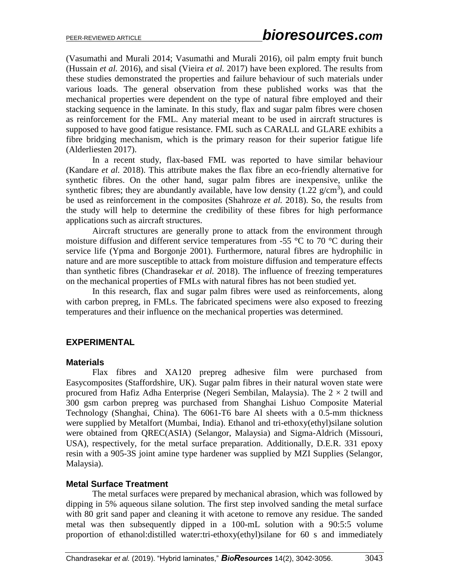(Vasumathi and Murali 2014; Vasumathi and Murali 2016), oil palm empty fruit bunch (Hussain *et al.* 2016), and sisal (Vieira *et al.* 2017) have been explored. The results from these studies demonstrated the properties and failure behaviour of such materials under various loads. The general observation from these published works was that the mechanical properties were dependent on the type of natural fibre employed and their stacking sequence in the laminate. In this study, flax and sugar palm fibres were chosen as reinforcement for the FML. Any material meant to be used in aircraft structures is supposed to have good fatigue resistance. FML such as CARALL and GLARE exhibits a fibre bridging mechanism, which is the primary reason for their superior fatigue life (Alderliesten 2017).

In a recent study, flax-based FML was reported to have similar behaviour (Kandare *et al.* 2018). This attribute makes the flax fibre an eco-friendly alternative for synthetic fibres. On the other hand, sugar palm fibres are inexpensive, unlike the synthetic fibres; they are abundantly available, have low density  $(1.22 \text{ g/cm}^3)$ , and could be used as reinforcement in the composites (Shahroze *et al.* 2018). So, the results from the study will help to determine the credibility of these fibres for high performance applications such as aircraft structures.

Aircraft structures are generally prone to attack from the environment through moisture diffusion and different service temperatures from -55  $\degree$ C to 70  $\degree$ C during their service life (Ypma and Borgonje 2001). Furthermore, natural fibres are hydrophilic in nature and are more susceptible to attack from moisture diffusion and temperature effects than synthetic fibres (Chandrasekar *et al.* 2018). The influence of freezing temperatures on the mechanical properties of FMLs with natural fibres has not been studied yet.

In this research, flax and sugar palm fibres were used as reinforcements, along with carbon prepreg, in FMLs. The fabricated specimens were also exposed to freezing temperatures and their influence on the mechanical properties was determined.

# **EXPERIMENTAL**

### **Materials**

Flax fibres and XA120 prepreg adhesive film were purchased from Easycomposites (Staffordshire, UK). Sugar palm fibres in their natural woven state were procured from Hafiz Adha Enterprise (Negeri Sembilan, Malaysia). The  $2 \times 2$  twill and 300 gsm carbon prepreg was purchased from Shanghai Lishuo Composite Material Technology (Shanghai, China). The 6061-T6 bare Al sheets with a 0.5-mm thickness were supplied by Metalfort (Mumbai, India). Ethanol and tri-ethoxy(ethyl)silane solution were obtained from QREC(ASIA) (Selangor, Malaysia) and Sigma-Aldrich (Missouri, USA), respectively, for the metal surface preparation. Additionally, D.E.R. 331 epoxy resin with a 905-3S joint amine type hardener was supplied by MZI Supplies (Selangor, Malaysia).

#### **Metal Surface Treatment**

The metal surfaces were prepared by mechanical abrasion, which was followed by dipping in 5% aqueous silane solution. The first step involved sanding the metal surface with 80 grit sand paper and cleaning it with acetone to remove any residue. The sanded metal was then subsequently dipped in a 100-mL solution with a 90:5:5 volume proportion of ethanol:distilled water:tri-ethoxy(ethyl)silane for 60 s and immediately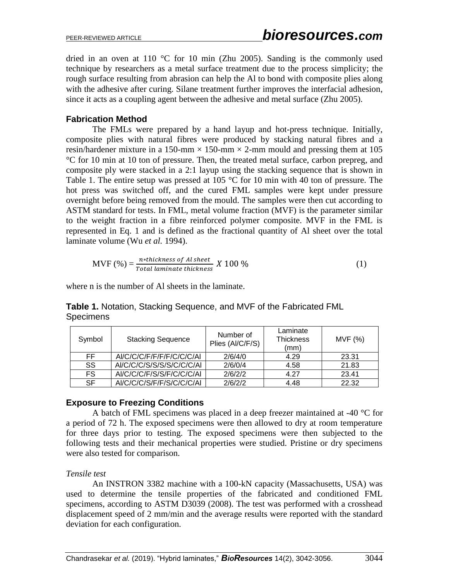dried in an oven at 110 °C for 10 min (Zhu 2005). Sanding is the commonly used technique by researchers as a metal surface treatment due to the process simplicity; the rough surface resulting from abrasion can help the Al to bond with composite plies along with the adhesive after curing. Silane treatment further improves the interfacial adhesion, since it acts as a coupling agent between the adhesive and metal surface (Zhu 2005).

### **Fabrication Method**

The FMLs were prepared by a hand layup and hot-press technique. Initially, composite plies with natural fibres were produced by stacking natural fibres and a resin/hardener mixture in a 150-mm  $\times$  150-mm  $\times$  2-mm mould and pressing them at 105 °C for 10 min at 10 ton of pressure. Then, the treated metal surface, carbon prepreg, and composite ply were stacked in a 2:1 layup using the stacking sequence that is shown in Table 1. The entire setup was pressed at 105 °C for 10 min with 40 ton of pressure. The hot press was switched off, and the cured FML samples were kept under pressure overnight before being removed from the mould. The samples were then cut according to ASTM standard for tests. In FML, metal volume fraction (MVF) is the parameter similar to the weight fraction in a fibre reinforced polymer composite. MVF in the FML is represented in Eq. 1 and is defined as the fractional quantity of Al sheet over the total laminate volume (Wu *et al.* 1994).

MVF (%) = 
$$
\frac{n * thickness \ of \ Al \ sheet}{Total \ laminate \ thickness} \ X \ 100 \%
$$
 (1)

where n is the number of Al sheets in the laminate.

| Symbol | <b>Stacking Sequence</b>  | Number of<br>Plies (Al/C/F/S) | Laminate<br><b>Thickness</b><br>(mm) | MVF(%) |
|--------|---------------------------|-------------------------------|--------------------------------------|--------|
| FF.    | AI/C/C/C/F/F/F/F/C/C/C/AI | 2/6/4/0                       | 4.29                                 | 23.31  |
| SS     | AI/C/C/C/S/S/S/S/C/C/C/AI | 2/6/0/4                       | 4.58                                 | 21.83  |
| FS.    | AI/C/C/C/F/S/S/F/C/C/C/AI | 2/6/2/2                       | 4.27                                 | 23.41  |
| SF     | AI/C/C/C/S/F/F/S/C/C/C/AI | 2/6/2/2                       | 4.48                                 | 22.32  |

**Table 1.** Notation, Stacking Sequence, and MVF of the Fabricated FML **Specimens** 

### **Exposure to Freezing Conditions**

A batch of FML specimens was placed in a deep freezer maintained at -40 °C for a period of 72 h. The exposed specimens were then allowed to dry at room temperature for three days prior to testing. The exposed specimens were then subjected to the following tests and their mechanical properties were studied. Pristine or dry specimens were also tested for comparison.

### *Tensile test*

An INSTRON 3382 machine with a 100-kN capacity (Massachusetts, USA) was used to determine the tensile properties of the fabricated and conditioned FML specimens, according to ASTM D3039 (2008). The test was performed with a crosshead displacement speed of 2 mm/min and the average results were reported with the standard deviation for each configuration.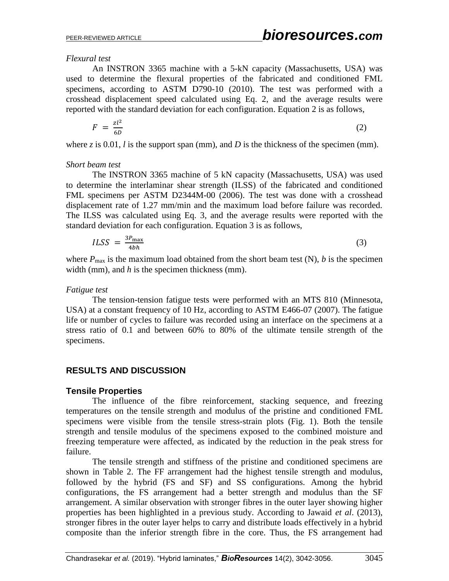*Flexural test*

An INSTRON 3365 machine with a 5-kN capacity (Massachusetts, USA) was used to determine the flexural properties of the fabricated and conditioned FML specimens, according to ASTM D790-10 (2010). The test was performed with a crosshead displacement speed calculated using Eq. 2, and the average results were reported with the standard deviation for each configuration. Equation 2 is as follows,

$$
F = \frac{zl^2}{6D} \tag{2}
$$

where  $\zeta$  is 0.01, *l* is the support span (mm), and *D* is the thickness of the specimen (mm).

#### *Short beam test*

The INSTRON 3365 machine of 5 kN capacity (Massachusetts, USA) was used to determine the interlaminar shear strength (ILSS) of the fabricated and conditioned FML specimens per ASTM D2344M-00 (2006). The test was done with a crosshead displacement rate of 1.27 mm/min and the maximum load before failure was recorded. The ILSS was calculated using Eq. 3, and the average results were reported with the standard deviation for each configuration. Equation 3 is as follows,

$$
ILSS = \frac{3P_{\text{max}}}{4bh} \tag{3}
$$

where  $P_{\text{max}}$  is the maximum load obtained from the short beam test (N), *b* is the specimen width (mm), and *h* is the specimen thickness (mm).

#### *Fatigue test*

The tension-tension fatigue tests were performed with an MTS 810 (Minnesota, USA) at a constant frequency of 10 Hz, according to ASTM E466-07 (2007). The fatigue life or number of cycles to failure was recorded using an interface on the specimens at a stress ratio of 0.1 and between 60% to 80% of the ultimate tensile strength of the specimens.

# **RESULTS AND DISCUSSION**

### **Tensile Properties**

The influence of the fibre reinforcement, stacking sequence, and freezing temperatures on the tensile strength and modulus of the pristine and conditioned FML specimens were visible from the tensile stress-strain plots (Fig. 1). Both the tensile strength and tensile modulus of the specimens exposed to the combined moisture and freezing temperature were affected, as indicated by the reduction in the peak stress for failure.

The tensile strength and stiffness of the pristine and conditioned specimens are shown in Table 2. The FF arrangement had the highest tensile strength and modulus, followed by the hybrid (FS and SF) and SS configurations. Among the hybrid configurations, the FS arrangement had a better strength and modulus than the SF arrangement. A similar observation with stronger fibres in the outer layer showing higher properties has been highlighted in a previous study. According to Jawaid *et al*. (2013), stronger fibres in the outer layer helps to carry and distribute loads effectively in a hybrid composite than the inferior strength fibre in the core. Thus, the FS arrangement had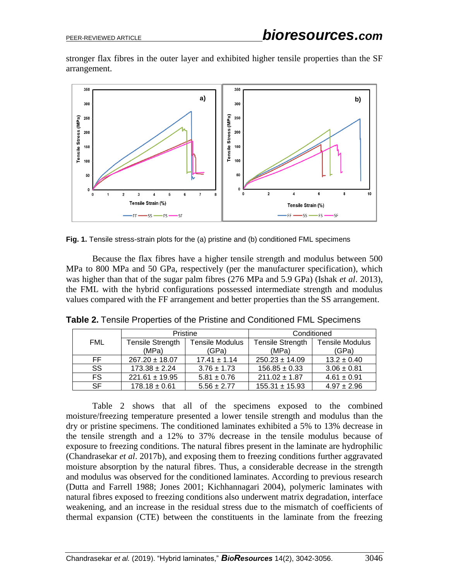stronger flax fibres in the outer layer and exhibited higher tensile properties than the SF arrangement.



**Fig. 1.** Tensile stress-strain plots for the (a) pristine and (b) conditioned FML specimens

Because the flax fibres have a higher tensile strength and modulus between 500 MPa to 800 MPa and 50 GPa, respectively (per the manufacturer specification), which was higher than that of the sugar palm fibres (276 MPa and 5.9 GPa) (Ishak *et al*. 2013), the FML with the hybrid configurations possessed intermediate strength and modulus values compared with the FF arrangement and better properties than the SS arrangement.

|            |                    | Pristine               | Conditioned             |                        |  |
|------------|--------------------|------------------------|-------------------------|------------------------|--|
| <b>FML</b> | Tensile Strength   | <b>Tensile Modulus</b> | <b>Tensile Strength</b> | <b>Tensile Modulus</b> |  |
|            | (MPa)              | (GPa)                  | (MPa)                   | (GPa)                  |  |
| FF.        | $267.20 \pm 18.07$ | $17.41 \pm 1.14$       | $250.23 \pm 14.09$      | $13.2 \pm 0.40$        |  |
| SS         | $173.38 \pm 2.24$  | $3.76 \pm 1.73$        | $156.85 \pm 0.33$       | $3.06 \pm 0.81$        |  |
| <b>FS</b>  | $221.61 \pm 19.95$ | $5.81 \pm 0.76$        | $211.02 \pm 1.87$       | $4.61 \pm 0.91$        |  |
| <b>SF</b>  | $178.18 \pm 0.61$  | $5.56 \pm 2.77$        | $155.31 \pm 15.93$      | $4.97 \pm 2.96$        |  |

**Table 2.** Tensile Properties of the Pristine and Conditioned FML Specimens

Table 2 shows that all of the specimens exposed to the combined moisture/freezing temperature presented a lower tensile strength and modulus than the dry or pristine specimens. The conditioned laminates exhibited a 5% to 13% decrease in the tensile strength and a 12% to 37% decrease in the tensile modulus because of exposure to freezing conditions. The natural fibres present in the laminate are hydrophilic (Chandrasekar *et al*. 2017b), and exposing them to freezing conditions further aggravated moisture absorption by the natural fibres. Thus, a considerable decrease in the strength and modulus was observed for the conditioned laminates. According to previous research (Dutta and Farrell 1988; Jones 2001; Kichhannagari 2004), polymeric laminates with natural fibres exposed to freezing conditions also underwent matrix degradation, interface weakening, and an increase in the residual stress due to the mismatch of coefficients of thermal expansion (CTE) between the constituents in the laminate from the freezing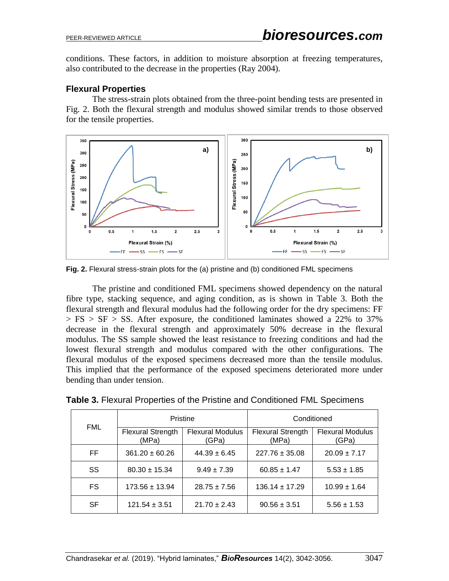conditions. These factors, in addition to moisture absorption at freezing temperatures, also contributed to the decrease in the properties (Ray 2004).

#### **Flexural Properties**

The stress-strain plots obtained from the three-point bending tests are presented in Fig. 2. Both the flexural strength and modulus showed similar trends to those observed for the tensile properties.



**Fig. 2.** Flexural stress-strain plots for the (a) pristine and (b) conditioned FML specimens

The pristine and conditioned FML specimens showed dependency on the natural fibre type, stacking sequence, and aging condition, as is shown in Table 3. Both the flexural strength and flexural modulus had the following order for the dry specimens: FF  $> FS > SF > SS$ . After exposure, the conditioned laminates showed a 22% to 37% decrease in the flexural strength and approximately 50% decrease in the flexural modulus. The SS sample showed the least resistance to freezing conditions and had the lowest flexural strength and modulus compared with the other configurations. The flexural modulus of the exposed specimens decreased more than the tensile modulus. This implied that the performance of the exposed specimens deteriorated more under bending than under tension.

|            | Pristine                          |                                  | Conditioned                       |                                  |  |
|------------|-----------------------------------|----------------------------------|-----------------------------------|----------------------------------|--|
| <b>FML</b> | <b>Flexural Strength</b><br>(MPa) | <b>Flexural Modulus</b><br>(GPa) | <b>Flexural Strength</b><br>(MPa) | <b>Flexural Modulus</b><br>(GPa) |  |
| FF.        | $361.20 \pm 60.26$                | $44.39 \pm 6.45$                 | $227.76 \pm 35.08$                | $20.09 \pm 7.17$                 |  |
| SS.        | $80.30 \pm 15.34$                 | $9.49 \pm 7.39$                  | $60.85 \pm 1.47$                  | $5.53 \pm 1.85$                  |  |
| FS.        | $173.56 \pm 13.94$                | $28.75 \pm 7.56$                 | $136.14 \pm 17.29$                | $10.99 \pm 1.64$                 |  |
| <b>SF</b>  | $121.54 \pm 3.51$                 | $21.70 \pm 2.43$                 | $90.56 \pm 3.51$                  | $5.56 \pm 1.53$                  |  |

**Table 3.** Flexural Properties of the Pristine and Conditioned FML Specimens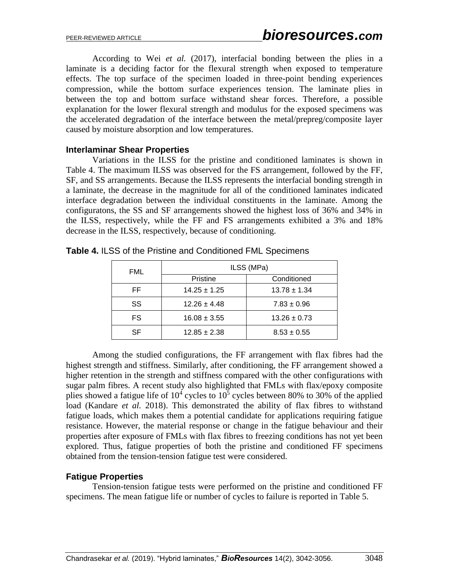According to Wei *et al.* (2017), interfacial bonding between the plies in a laminate is a deciding factor for the flexural strength when exposed to temperature effects. The top surface of the specimen loaded in three-point bending experiences compression, while the bottom surface experiences tension. The laminate plies in between the top and bottom surface withstand shear forces. Therefore, a possible explanation for the lower flexural strength and modulus for the exposed specimens was the accelerated degradation of the interface between the metal/prepreg/composite layer caused by moisture absorption and low temperatures.

#### **Interlaminar Shear Properties**

Variations in the ILSS for the pristine and conditioned laminates is shown in Table 4. The maximum ILSS was observed for the FS arrangement, followed by the FF, SF, and SS arrangements. Because the ILSS represents the interfacial bonding strength in a laminate, the decrease in the magnitude for all of the conditioned laminates indicated interface degradation between the individual constituents in the laminate. Among the configuratons, the SS and SF arrangements showed the highest loss of 36% and 34% in the ILSS, respectively, while the FF and FS arrangements exhibited a 3% and 18% decrease in the ILSS, respectively, because of conditioning.

| <b>FML</b> | ILSS (MPa)       |                  |  |  |
|------------|------------------|------------------|--|--|
|            | Pristine         | Conditioned      |  |  |
| FF         | $14.25 \pm 1.25$ | $13.78 \pm 1.34$ |  |  |
| SS         | $12.26 \pm 4.48$ | $7.83 \pm 0.96$  |  |  |
| FS         | $16.08 \pm 3.55$ | $13.26 \pm 0.73$ |  |  |
| SF         | $12.85 \pm 2.38$ | $8.53 \pm 0.55$  |  |  |

**Table 4.** ILSS of the Pristine and Conditioned FML Specimens

Among the studied configurations, the FF arrangement with flax fibres had the highest strength and stiffness. Similarly, after conditioning, the FF arrangement showed a higher retention in the strength and stiffness compared with the other configurations with sugar palm fibres. A recent study also highlighted that FMLs with flax/epoxy composite plies showed a fatigue life of  $10^4$  cycles to  $10^5$  cycles between 80% to 30% of the applied load (Kandare *et al.* 2018). This demonstrated the ability of flax fibres to withstand fatigue loads, which makes them a potential candidate for applications requiring fatigue resistance. However, the material response or change in the fatigue behaviour and their properties after exposure of FMLs with flax fibres to freezing conditions has not yet been explored. Thus, fatigue properties of both the pristine and conditioned FF specimens obtained from the tension-tension fatigue test were considered.

### **Fatigue Properties**

Tension-tension fatigue tests were performed on the pristine and conditioned FF specimens. The mean fatigue life or number of cycles to failure is reported in Table 5.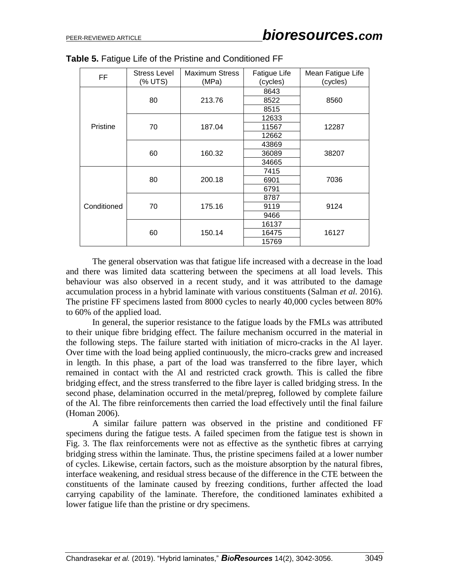| <b>FF</b>   | <b>Stress Level</b><br>(% UTS) | <b>Maximum Stress</b><br>(MPa) | Fatigue Life<br>(cycles) | Mean Fatigue Life<br>(cycles) |  |
|-------------|--------------------------------|--------------------------------|--------------------------|-------------------------------|--|
|             |                                | 213.76                         | 8643                     |                               |  |
|             | 80                             |                                | 8522                     | 8560                          |  |
|             |                                |                                | 8515                     |                               |  |
|             |                                |                                | 12633                    |                               |  |
| Pristine    | 70                             | 187.04                         | 11567                    | 12287                         |  |
|             |                                |                                | 12662                    |                               |  |
|             | 160.32<br>60                   |                                | 43869                    |                               |  |
|             |                                |                                | 36089                    | 38207                         |  |
|             |                                |                                | 34665                    |                               |  |
|             | 80                             | 200.18                         | 7415                     |                               |  |
|             |                                |                                | 6901                     | 7036                          |  |
| Conditioned |                                |                                | 6791                     |                               |  |
|             | 70                             | 175.16                         | 8787                     | 9124                          |  |
|             |                                |                                | 9119                     |                               |  |
|             |                                |                                | 9466                     |                               |  |
|             |                                |                                | 16137                    |                               |  |
|             | 60                             | 150.14                         | 16475                    | 16127                         |  |
|             |                                |                                | 15769                    |                               |  |

| <b>Table 5. Fatigue Life of the Pristine and Conditioned FF</b> |
|-----------------------------------------------------------------|
|-----------------------------------------------------------------|

The general observation was that fatigue life increased with a decrease in the load and there was limited data scattering between the specimens at all load levels. This behaviour was also observed in a recent study, and it was attributed to the damage accumulation process in a hybrid laminate with various constituents (Salman *et al.* 2016). The pristine FF specimens lasted from 8000 cycles to nearly 40,000 cycles between 80% to 60% of the applied load.

In general, the superior resistance to the fatigue loads by the FMLs was attributed to their unique fibre bridging effect. The failure mechanism occurred in the material in the following steps. The failure started with initiation of micro-cracks in the Al layer. Over time with the load being applied continuously, the micro-cracks grew and increased in length. In this phase, a part of the load was transferred to the fibre layer, which remained in contact with the Al and restricted crack growth. This is called the fibre bridging effect, and the stress transferred to the fibre layer is called bridging stress. In the second phase, delamination occurred in the metal/prepreg, followed by complete failure of the Al. The fibre reinforcements then carried the load effectively until the final failure (Homan 2006).

A similar failure pattern was observed in the pristine and conditioned FF specimens during the fatigue tests. A failed specimen from the fatigue test is shown in Fig. 3. The flax reinforcements were not as effective as the synthetic fibres at carrying bridging stress within the laminate. Thus, the pristine specimens failed at a lower number of cycles. Likewise, certain factors, such as the moisture absorption by the natural fibres, interface weakening, and residual stress because of the difference in the CTE between the constituents of the laminate caused by freezing conditions, further affected the load carrying capability of the laminate. Therefore, the conditioned laminates exhibited a lower fatigue life than the pristine or dry specimens.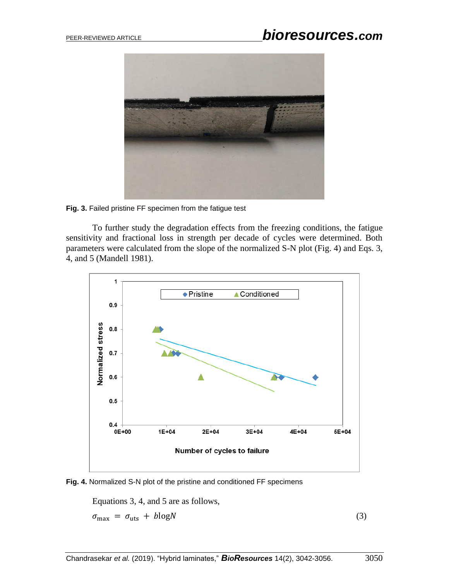

**Fig. 3.** Failed pristine FF specimen from the fatigue test

To further study the degradation effects from the freezing conditions, the fatigue sensitivity and fractional loss in strength per decade of cycles were determined. Both parameters were calculated from the slope of the normalized S-N plot (Fig. 4) and Eqs. 3, 4, and 5 (Mandell 1981).





Equations 3, 4, and 5 are as follows,

 $\sigma_{\text{max}} = \sigma_{\text{uts}} + b \log N$  (3)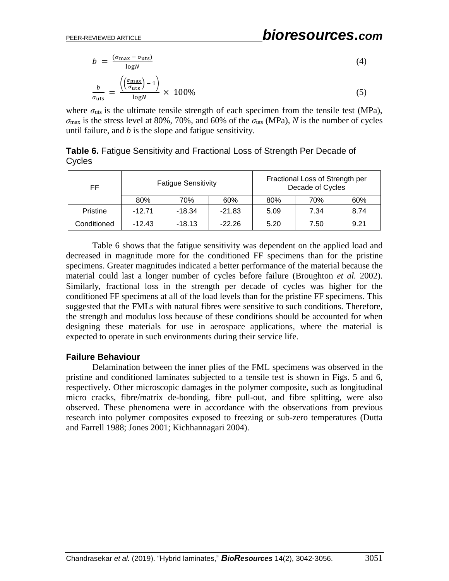$$
b = \frac{(\sigma_{\text{max}} - \sigma_{\text{uts}})}{\log N}
$$
(4)  

$$
\frac{b}{\sigma_{\text{uts}}} = \frac{\left(\left(\frac{\sigma_{\text{max}}}{\sigma_{\text{uts}}}\right) - 1\right)}{\log N} \times 100\%
$$
(5)

where  $\sigma_{uts}$  is the ultimate tensile strength of each specimen from the tensile test (MPa),  $\sigma_{\text{max}}$  is the stress level at 80%, 70%, and 60% of the  $\sigma_{\text{uts}}$  (MPa), *N* is the number of cycles until failure, and *b* is the slope and fatigue sensitivity.

| FF          | <b>Fatigue Sensitivity</b> |          | Fractional Loss of Strength per<br>Decade of Cycles |      |      |      |
|-------------|----------------------------|----------|-----------------------------------------------------|------|------|------|
|             | 80%                        | 70%      | 60%                                                 | 80%  | 70%  | 60%  |
| Pristine    | $-12.71$                   | $-18.34$ | $-21.83$                                            | 5.09 | 7.34 | 8.74 |
| Conditioned | $-12.43$                   | $-18.13$ | $-22.26$                                            | 5.20 | 7.50 | 9.21 |

**Table 6.** Fatigue Sensitivity and Fractional Loss of Strength Per Decade of Cycles

Table 6 shows that the fatigue sensitivity was dependent on the applied load and decreased in magnitude more for the conditioned FF specimens than for the pristine specimens. Greater magnitudes indicated a better performance of the material because the material could last a longer number of cycles before failure (Broughton *et al.* 2002). Similarly, fractional loss in the strength per decade of cycles was higher for the conditioned FF specimens at all of the load levels than for the pristine FF specimens. This suggested that the FMLs with natural fibres were sensitive to such conditions. Therefore, the strength and modulus loss because of these conditions should be accounted for when designing these materials for use in aerospace applications, where the material is expected to operate in such environments during their service life.

### **Failure Behaviour**

Delamination between the inner plies of the FML specimens was observed in the pristine and conditioned laminates subjected to a tensile test is shown in Figs. 5 and 6, respectively. Other microscopic damages in the polymer composite, such as longitudinal micro cracks, fibre/matrix de-bonding, fibre pull-out, and fibre splitting, were also observed. These phenomena were in accordance with the observations from previous research into polymer composites exposed to freezing or sub-zero temperatures (Dutta and Farrell 1988; Jones 2001; Kichhannagari 2004).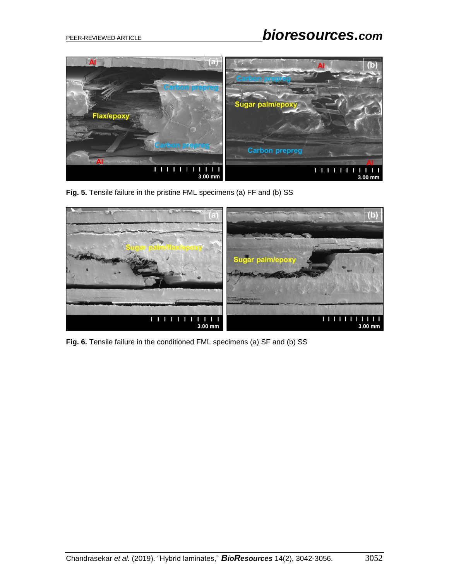

**Fig. 5.** Tensile failure in the pristine FML specimens (a) FF and (b) SS



Fig. 6. Tensile failure in the conditioned FML specimens (a) SF and (b) SS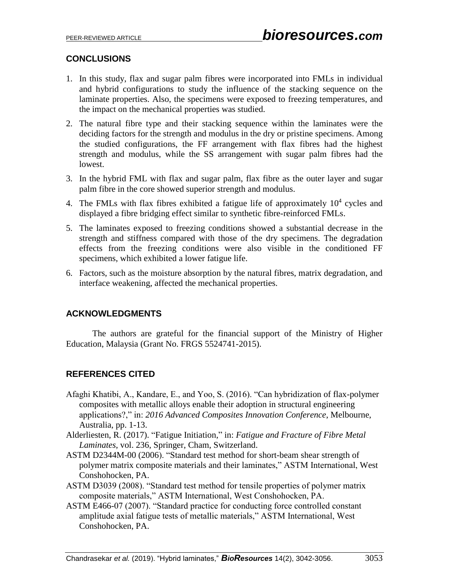# **CONCLUSIONS**

- 1. In this study, flax and sugar palm fibres were incorporated into FMLs in individual and hybrid configurations to study the influence of the stacking sequence on the laminate properties. Also, the specimens were exposed to freezing temperatures, and the impact on the mechanical properties was studied.
- 2. The natural fibre type and their stacking sequence within the laminates were the deciding factors for the strength and modulus in the dry or pristine specimens. Among the studied configurations, the FF arrangement with flax fibres had the highest strength and modulus, while the SS arrangement with sugar palm fibres had the lowest.
- 3. In the hybrid FML with flax and sugar palm, flax fibre as the outer layer and sugar palm fibre in the core showed superior strength and modulus.
- 4. The FMLs with flax fibres exhibited a fatigue life of approximately  $10<sup>4</sup>$  cycles and displayed a fibre bridging effect similar to synthetic fibre-reinforced FMLs.
- 5. The laminates exposed to freezing conditions showed a substantial decrease in the strength and stiffness compared with those of the dry specimens. The degradation effects from the freezing conditions were also visible in the conditioned FF specimens, which exhibited a lower fatigue life.
- 6. Factors, such as the moisture absorption by the natural fibres, matrix degradation, and interface weakening, affected the mechanical properties.

# **ACKNOWLEDGMENTS**

The authors are grateful for the financial support of the Ministry of Higher Education, Malaysia (Grant No. FRGS 5524741-2015).

# **REFERENCES CITED**

- Afaghi Khatibi, A., Kandare, E., and Yoo, S. (2016). "Can hybridization of flax-polymer composites with metallic alloys enable their adoption in structural engineering applications?," in: *2016 Advanced Composites Innovation Conference*, Melbourne, Australia, pp. 1-13.
- Alderliesten, R. (2017). "Fatigue Initiation," in: *Fatigue and Fracture of Fibre Metal Laminates*, vol. 236, Springer, Cham, Switzerland.
- ASTM D2344M-00 (2006). "Standard test method for short-beam shear strength of polymer matrix composite materials and their laminates," ASTM International, West Conshohocken, PA.
- ASTM D3039 (2008). "Standard test method for tensile properties of polymer matrix composite materials," ASTM International, West Conshohocken, PA.
- ASTM E466-07 (2007). "Standard practice for conducting force controlled constant amplitude axial fatigue tests of metallic materials," ASTM International, West Conshohocken, PA.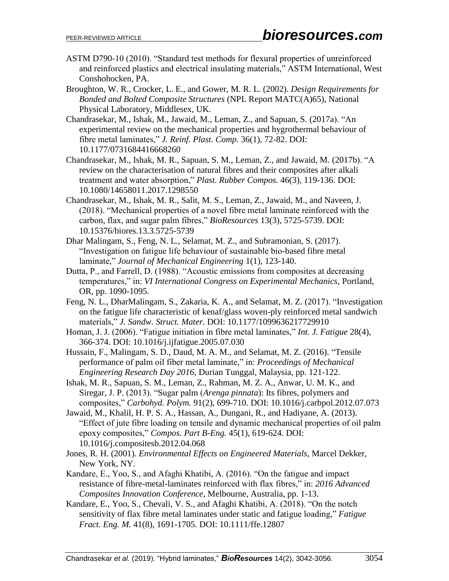- ASTM D790-10 (2010). "Standard test methods for flexural properties of unreinforced and reinforced plastics and electrical insulating materials," ASTM International, West Conshohocken, PA.
- Broughton, W. R., Crocker, L. E., and Gower, M. R. L. (2002). *Design Requirements for Bonded and Bolted Composite Structures* (NPL Report MATC(A)65), National Physical Laboratory, Middlesex, UK.
- Chandrasekar, M., Ishak, M., Jawaid, M., Leman, Z., and Sapuan, S. (2017a). "An experimental review on the mechanical properties and hygrothermal behaviour of fibre metal laminates," *J. Reinf. Plast. Comp.* 36(1), 72-82. DOI: 10.1177/0731684416668260
- Chandrasekar, M., Ishak, M. R., Sapuan, S. M., Leman, Z., and Jawaid, M. (2017b). "A review on the characterisation of natural fibres and their composites after alkali treatment and water absorption," *Plast. Rubber Compos.* 46(3), 119-136. DOI: 10.1080/14658011.2017.1298550
- Chandrasekar, M., Ishak, M. R., Salit, M. S., Leman, Z., Jawaid, M., and Naveen, J. (2018). "Mechanical properties of a novel fibre metal laminate reinforced with the carbon, flax, and sugar palm fibres," *BioResources* 13(3), 5725-5739. DOI: 10.15376/biores.13.3.5725-5739
- Dhar Malingam, S., Feng, N. L., Selamat, M. Z., and Subramonian, S. (2017). "Investigation on fatigue life behaviour of sustainable bio-based fibre metal laminate," *Journal of Mechanical Engineering* 1(1), 123-140.
- Dutta, P., and Farrell, D. (1988). "Acoustic emissions from composites at decreasing temperatures," in: *VI International Congress on Experimental Mechanics*, Portland, OR, pp. 1090-1095.
- Feng, N. L., DharMalingam, S., Zakaria, K. A., and Selamat, M. Z. (2017). "Investigation on the fatigue life characteristic of kenaf/glass woven-ply reinforced metal sandwich materials," *J. Sandw. Struct. Mater*. DOI: 10.1177/1099636217729910
- Homan, J. J. (2006). "Fatigue initiation in fibre metal laminates," *Int. J. Fatigue* 28(4), 366-374. DOI: 10.1016/j.ijfatigue.2005.07.030
- Hussain, F., Malingam, S. D., Daud, M. A. M., and Selamat, M. Z. (2016). "Tensile performance of palm oil fiber metal laminate," in: *Proceedings of Mechanical Engineering Research Day 2016*, Durian Tunggal, Malaysia, pp. 121-122.
- Ishak, M. R., Sapuan, S. M., Leman, Z., Rahman, M. Z. A., Anwar, U. M. K., and Siregar, J. P. (2013). "Sugar palm (*Arenga pinnata*): Its fibres, polymers and composites," *Carbohyd. Polym.* 91(2), 699-710. DOI: 10.1016/j.carbpol.2012.07.073
- Jawaid, M., Khalil, H. P. S. A., Hassan, A., Dungani, R., and Hadiyane, A. (2013). "Effect of jute fibre loading on tensile and dynamic mechanical properties of oil palm epoxy composites," *Compos. Part B-Eng.* 45(1), 619-624. DOI: 10.1016/j.compositesb.2012.04.068
- Jones, R. H. (2001). *Environmental Effects on Engineered Materials*, Marcel Dekker, New York, NY.
- Kandare, E., Yoo, S., and Afaghi Khatibi, A. (2016). "On the fatigue and impact resistance of fibre-metal-laminates reinforced with flax fibres," in: *2016 Advanced Composites Innovation Conference*, Melbourne, Australia, pp. 1-13.
- Kandare, E., Yoo, S., Chevali, V. S., and Afaghi Khatibi, A. (2018). "On the notch sensitivity of flax fibre metal laminates under static and fatigue loading," *Fatigue Fract. Eng. M.* 41(8), 1691-1705. DOI: 10.1111/ffe.12807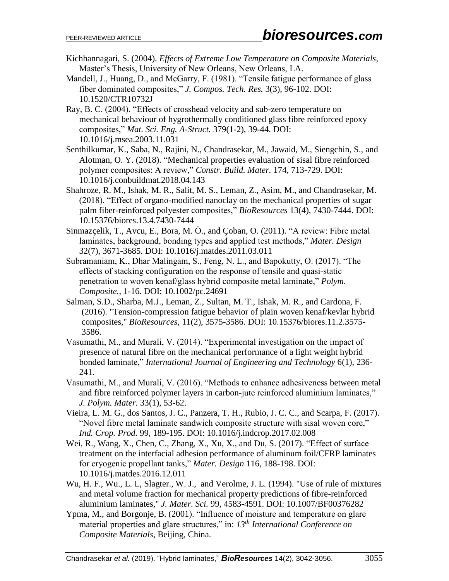- Kichhannagari, S. (2004). *Effects of Extreme Low Temperature on Composite Materials*, Master's Thesis, University of New Orleans, New Orleans, LA.
- Mandell, J., Huang, D., and McGarry, F. (1981). "Tensile fatigue performance of glass fiber dominated composites," *J. Compos. Tech. Res.* 3(3), 96-102. DOI: 10.1520/CTR10732J
- Ray, B. C. (2004). "Effects of crosshead velocity and sub-zero temperature on mechanical behaviour of hygrothermally conditioned glass fibre reinforced epoxy composites," *Mat. Sci. Eng. A-Struct.* 379(1-2), 39-44. DOI: 10.1016/j.msea.2003.11.031
- Senthilkumar, K., Saba, N., Rajini, N., Chandrasekar, M., Jawaid, M., Siengchin, S., and Alotman, O. Y. (2018). "Mechanical properties evaluation of sisal fibre reinforced polymer composites: A review," *Constr. Build. Mater.* 174, 713-729. DOI: 10.1016/j.conbuildmat.2018.04.143
- Shahroze, R. M., Ishak, M. R., Salit, M. S., Leman, Z., Asim, M., and Chandrasekar, M. (2018). "Effect of organo-modified nanoclay on the mechanical properties of sugar palm fiber-reinforced polyester composites," *BioResources* 13(4), 7430-7444. DOI: 10.15376/biores.13.4.7430-7444
- Sinmazçelik, T., Avcu, E., Bora, M. Ö., and Çoban, O. (2011). "A review: Fibre metal laminates, background, bonding types and applied test methods," *Mater. Design*  32(7), 3671-3685. DOI: 10.1016/j.matdes.2011.03.011
- Subramaniam, K., Dhar Malingam, S., Feng, N. L., and Bapokutty, O. (2017). "The effects of stacking configuration on the response of tensile and quasi‐static penetration to woven kenaf/glass hybrid composite metal laminate," *Polym. Composite.*, 1-16. DOI: 10.1002/pc.24691
- Salman, S.D., Sharba, M.J., Leman, Z., Sultan, M. T., Ishak, M. R., and Cardona, F. (2016). "Tension-compression fatigue behavior of plain woven kenaf/kevlar hybrid composites," *BioResources,* 11(2), 3575-3586. DOI: 10.15376/biores.11.2.3575- 3586.
- Vasumathi, M., and Murali, V. (2014). "Experimental investigation on the impact of presence of natural fibre on the mechanical performance of a light weight hybrid bonded laminate," *International Journal of Engineering and Technology* 6(1), 236- 241.
- Vasumathi, M., and Murali, V. (2016). "Methods to enhance adhesiveness between metal and fibre reinforced polymer layers in carbon-jute reinforced aluminium laminates," *J. Polym. Mater.* 33(1), 53-62.
- Vieira, L. M. G., dos Santos, J. C., Panzera, T. H., Rubio, J. C. C., and Scarpa, F. (2017). "Novel fibre metal laminate sandwich composite structure with sisal woven core," *Ind. Crop. Prod.* 99, 189-195. DOI: 10.1016/j.indcrop.2017.02.008
- Wei, R., Wang, X., Chen, C., Zhang, X., Xu, X., and Du, S. (2017). "Effect of surface treatment on the interfacial adhesion performance of aluminum foil/CFRP laminates for cryogenic propellant tanks," *Mater. Design* 116, 188-198. DOI: 10.1016/j.matdes.2016.12.011
- Wu, H. F., Wu., L. L, Slagter., W. J., and Verolme, J. L. (1994). "Use of rule of mixtures and metal volume fraction for mechanical property predictions of fibre-reinforced aluminium laminates," *J. Mater. Sci.* 99, 4583-4591. DOI: 10.1007/BF00376282
- Ypma, M., and Borgonje, B. (2001). "Influence of moisture and temperature on glare material properties and glare structures," in: *13th International Conference on Composite Materials*, Beijing, China.